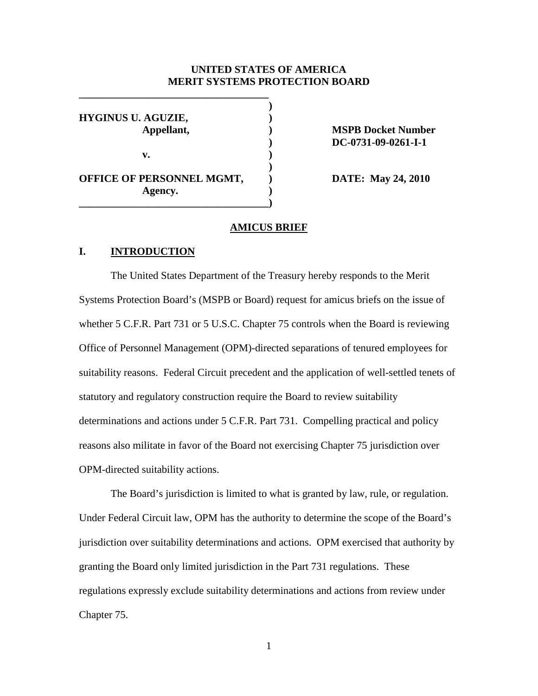### **UNITED STATES OF AMERICA MERIT SYSTEMS PROTECTION BOARD**

| <b>HYGINUS U. AGUZIE,</b><br>Appellant,     |  |
|---------------------------------------------|--|
| v.                                          |  |
| <b>OFFICE OF PERSONNEL MGMT,</b><br>Agency. |  |

**\_\_\_\_\_\_\_\_\_\_\_\_\_\_\_\_\_\_\_\_\_\_\_\_\_\_\_\_\_\_\_\_\_\_\_\_**

**MSPB Docket Number ) DC-0731-09-0261-I-1**

**DATE: May 24, 2010** 

#### **AMICUS BRIEF**

## **I. INTRODUCTION**

The United States Department of the Treasury hereby responds to the Merit Systems Protection Board's (MSPB or Board) request for amicus briefs on the issue of whether 5 C.F.R. Part 731 or 5 U.S.C. Chapter 75 controls when the Board is reviewing Office of Personnel Management (OPM)-directed separations of tenured employees for suitability reasons. Federal Circuit precedent and the application of well-settled tenets of statutory and regulatory construction require the Board to review suitability determinations and actions under 5 C.F.R. Part 731. Compelling practical and policy reasons also militate in favor of the Board not exercising Chapter 75 jurisdiction over OPM-directed suitability actions.

The Board's jurisdiction is limited to what is granted by law, rule, or regulation. Under Federal Circuit law, OPM has the authority to determine the scope of the Board's jurisdiction over suitability determinations and actions. OPM exercised that authority by granting the Board only limited jurisdiction in the Part 731 regulations. These regulations expressly exclude suitability determinations and actions from review under Chapter 75.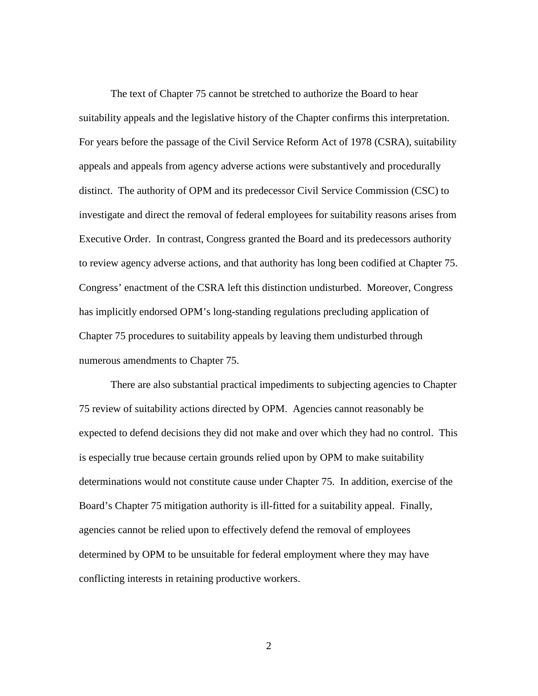The text of Chapter 75 cannot be stretched to authorize the Board to hear suitability appeals and the legislative history of the Chapter confirms this interpretation. For years before the passage of the Civil Service Reform Act of 1978 (CSRA), suitability appeals and appeals from agency adverse actions were substantively and procedurally distinct. The authority of OPM and its predecessor Civil Service Commission (CSC) to investigate and direct the removal of federal employees for suitability reasons arises from Executive Order. In contrast, Congress granted the Board and its predecessors authority to review agency adverse actions, and that authority has long been codified at Chapter 75. Congress' enactment of the CSRA left this distinction undisturbed. Moreover, Congress has implicitly endorsed OPM's long-standing regulations precluding application of Chapter 75 procedures to suitability appeals by leaving them undisturbed through numerous amendments to Chapter 75.

There are also substantial practical impediments to subjecting agencies to Chapter 75 review of suitability actions directed by OPM. Agencies cannot reasonably be expected to defend decisions they did not make and over which they had no control. This is especially true because certain grounds relied upon by OPM to make suitability determinations would not constitute cause under Chapter 75. In addition, exercise of the Board's Chapter 75 mitigation authority is ill-fitted for a suitability appeal. Finally, agencies cannot be relied upon to effectively defend the removal of employees determined by OPM to be unsuitable for federal employment where they may have conflicting interests in retaining productive workers.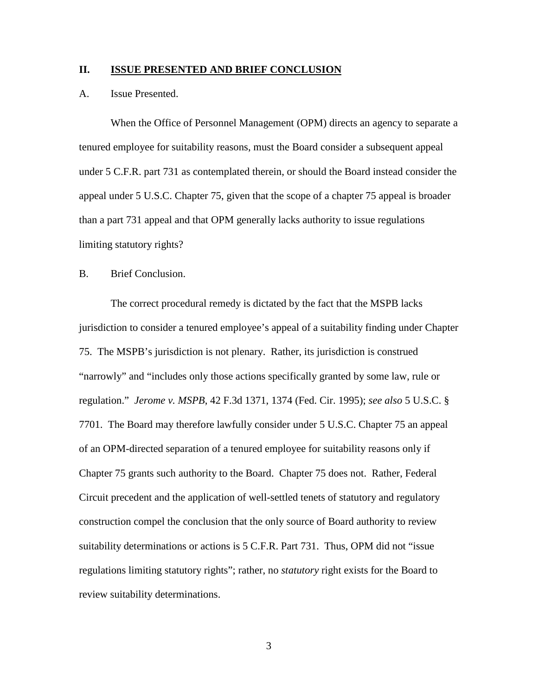### **II. ISSUE PRESENTED AND BRIEF CONCLUSION**

### A. Issue Presented.

When the Office of Personnel Management (OPM) directs an agency to separate a tenured employee for suitability reasons, must the Board consider a subsequent appeal under 5 C.F.R. part 731 as contemplated therein, or should the Board instead consider the appeal under 5 U.S.C. Chapter 75, given that the scope of a chapter 75 appeal is broader than a part 731 appeal and that OPM generally lacks authority to issue regulations limiting statutory rights?

#### B. Brief Conclusion.

The correct procedural remedy is dictated by the fact that the MSPB lacks jurisdiction to consider a tenured employee's appeal of a suitability finding under Chapter 75. The MSPB's jurisdiction is not plenary. Rather, its jurisdiction is construed "narrowly" and "includes only those actions specifically granted by some law, rule or regulation." *Jerome v. MSPB*, 42 F.3d 1371, 1374 (Fed. Cir. 1995); *see also* 5 U.S.C. § 7701. The Board may therefore lawfully consider under 5 U.S.C. Chapter 75 an appeal of an OPM-directed separation of a tenured employee for suitability reasons only if Chapter 75 grants such authority to the Board. Chapter 75 does not. Rather, Federal Circuit precedent and the application of well-settled tenets of statutory and regulatory construction compel the conclusion that the only source of Board authority to review suitability determinations or actions is 5 C.F.R. Part 731. Thus, OPM did not "issue regulations limiting statutory rights"; rather, no *statutory* right exists for the Board to review suitability determinations.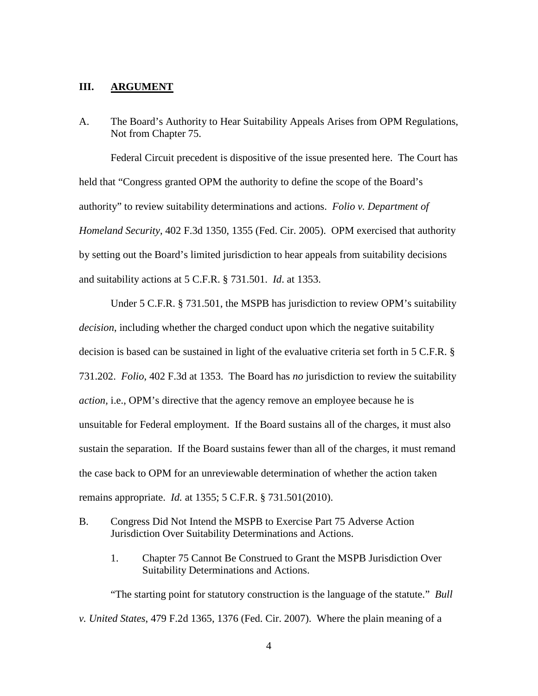### **III. ARGUMENT**

A. The Board's Authority to Hear Suitability Appeals Arises from OPM Regulations, Not from Chapter 75.

Federal Circuit precedent is dispositive of the issue presented here. The Court has held that "Congress granted OPM the authority to define the scope of the Board's authority" to review suitability determinations and actions. *Folio v. Department of Homeland Security*, 402 F.3d 1350, 1355 (Fed. Cir. 2005). OPM exercised that authority by setting out the Board's limited jurisdiction to hear appeals from suitability decisions and suitability actions at 5 C.F.R. § 731.501. *Id*. at 1353.

Under 5 C.F.R. § 731.501, the MSPB has jurisdiction to review OPM's suitability *decision*, including whether the charged conduct upon which the negative suitability decision is based can be sustained in light of the evaluative criteria set forth in 5 C.F.R. § 731.202. *Folio*, 402 F.3d at 1353. The Board has *no* jurisdiction to review the suitability *action,* i.e., OPM's directive that the agency remove an employee because he is unsuitable for Federal employment. If the Board sustains all of the charges, it must also sustain the separation. If the Board sustains fewer than all of the charges, it must remand the case back to OPM for an unreviewable determination of whether the action taken remains appropriate. *Id.* at 1355; 5 C.F.R. § 731.501(2010).

- B. Congress Did Not Intend the MSPB to Exercise Part 75 Adverse Action Jurisdiction Over Suitability Determinations and Actions.
	- 1. Chapter 75 Cannot Be Construed to Grant the MSPB Jurisdiction Over Suitability Determinations and Actions.

"The starting point for statutory construction is the language of the statute." *Bull v. United States*, 479 F.2d 1365, 1376 (Fed. Cir. 2007). Where the plain meaning of a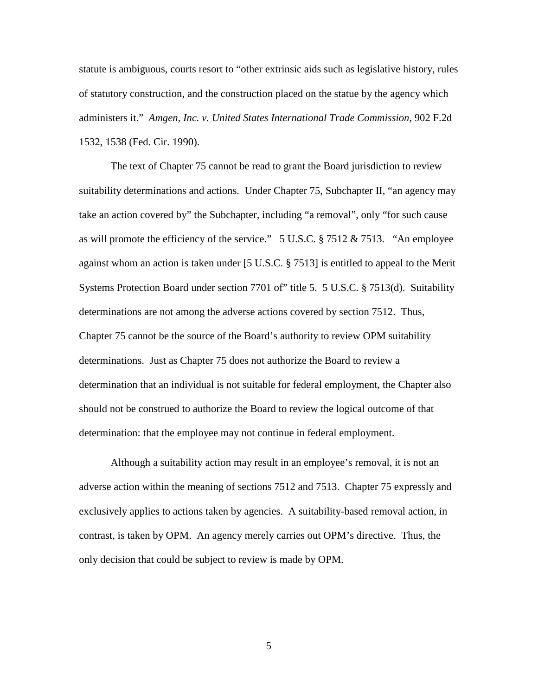statute is ambiguous, courts resort to "other extrinsic aids such as legislative history, rules of statutory construction, and the construction placed on the statue by the agency which administers it." *Amgen, Inc. v. United States International Trade Commission*, 902 F.2d 1532, 1538 (Fed. Cir. 1990).

The text of Chapter 75 cannot be read to grant the Board jurisdiction to review suitability determinations and actions. Under Chapter 75, Subchapter II, "an agency may take an action covered by" the Subchapter, including "a removal", only "for such cause as will promote the efficiency of the service." 5 U.S.C. § 7512 & 7513. "An employee against whom an action is taken under [5 U.S.C. § 7513] is entitled to appeal to the Merit Systems Protection Board under section 7701 of" title 5. 5 U.S.C. § 7513(d). Suitability determinations are not among the adverse actions covered by section 7512. Thus, Chapter 75 cannot be the source of the Board's authority to review OPM suitability determinations. Just as Chapter 75 does not authorize the Board to review a determination that an individual is not suitable for federal employment, the Chapter also should not be construed to authorize the Board to review the logical outcome of that determination: that the employee may not continue in federal employment.

Although a suitability action may result in an employee's removal, it is not an adverse action within the meaning of sections 7512 and 7513. Chapter 75 expressly and exclusively applies to actions taken by agencies. A suitability-based removal action, in contrast, is taken by OPM. An agency merely carries out OPM's directive. Thus, the only decision that could be subject to review is made by OPM.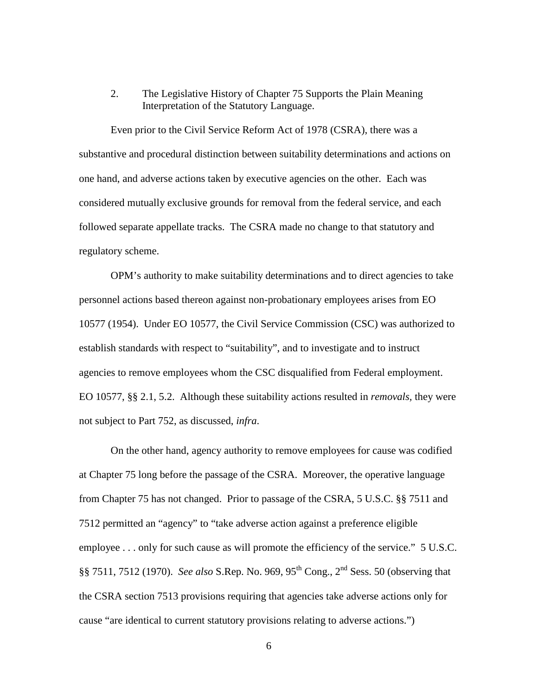# 2. The Legislative History of Chapter 75 Supports the Plain Meaning Interpretation of the Statutory Language.

Even prior to the Civil Service Reform Act of 1978 (CSRA), there was a substantive and procedural distinction between suitability determinations and actions on one hand, and adverse actions taken by executive agencies on the other. Each was considered mutually exclusive grounds for removal from the federal service, and each followed separate appellate tracks. The CSRA made no change to that statutory and regulatory scheme.

OPM's authority to make suitability determinations and to direct agencies to take personnel actions based thereon against non-probationary employees arises from EO 10577 (1954). Under EO 10577, the Civil Service Commission (CSC) was authorized to establish standards with respect to "suitability", and to investigate and to instruct agencies to remove employees whom the CSC disqualified from Federal employment. EO 10577, §§ 2.1, 5.2. Although these suitability actions resulted in *removals,* they were not subject to Part 752, as discussed, *infra*.

On the other hand, agency authority to remove employees for cause was codified at Chapter 75 long before the passage of the CSRA. Moreover, the operative language from Chapter 75 has not changed. Prior to passage of the CSRA, 5 U.S.C. §§ 7511 and 7512 permitted an "agency" to "take adverse action against a preference eligible employee . . . only for such cause as will promote the efficiency of the service." 5 U.S.C. §§ 7511, 7512 (1970). *See also* S.Rep. No. 969, 95th Cong., 2nd Sess. 50 (observing that the CSRA section 7513 provisions requiring that agencies take adverse actions only for cause "are identical to current statutory provisions relating to adverse actions.")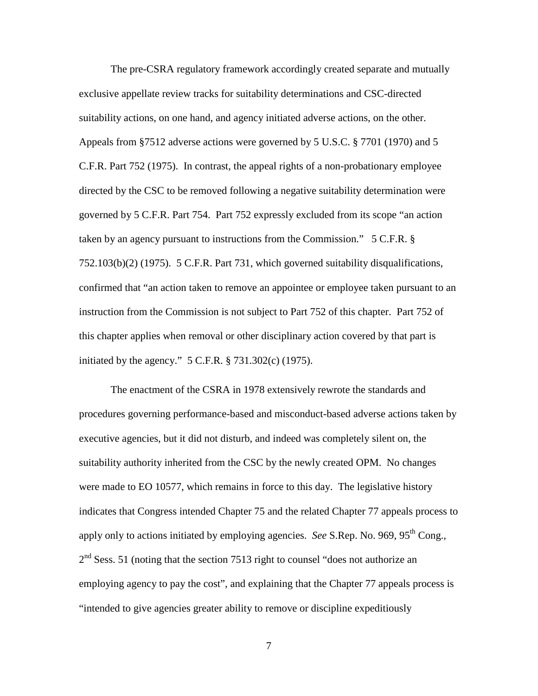The pre-CSRA regulatory framework accordingly created separate and mutually exclusive appellate review tracks for suitability determinations and CSC-directed suitability actions, on one hand, and agency initiated adverse actions, on the other. Appeals from §7512 adverse actions were governed by 5 U.S.C. § 7701 (1970) and 5 C.F.R. Part 752 (1975). In contrast, the appeal rights of a non-probationary employee directed by the CSC to be removed following a negative suitability determination were governed by 5 C.F.R. Part 754. Part 752 expressly excluded from its scope "an action taken by an agency pursuant to instructions from the Commission." 5 C.F.R. § 752.103(b)(2) (1975). 5 C.F.R. Part 731, which governed suitability disqualifications, confirmed that "an action taken to remove an appointee or employee taken pursuant to an instruction from the Commission is not subject to Part 752 of this chapter. Part 752 of this chapter applies when removal or other disciplinary action covered by that part is initiated by the agency." 5 C.F.R. § 731.302(c) (1975).

The enactment of the CSRA in 1978 extensively rewrote the standards and procedures governing performance-based and misconduct-based adverse actions taken by executive agencies, but it did not disturb, and indeed was completely silent on, the suitability authority inherited from the CSC by the newly created OPM. No changes were made to EO 10577, which remains in force to this day. The legislative history indicates that Congress intended Chapter 75 and the related Chapter 77 appeals process to apply only to actions initiated by employing agencies. *See* S.Rep. No. 969, 95th Cong.,  $2<sup>nd</sup>$  Sess. 51 (noting that the section 7513 right to counsel "does not authorize an employing agency to pay the cost", and explaining that the Chapter 77 appeals process is "intended to give agencies greater ability to remove or discipline expeditiously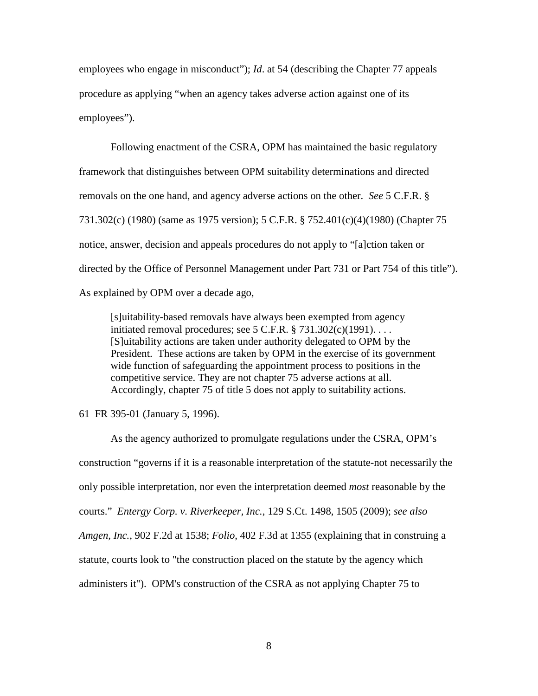employees who engage in misconduct"); *Id*. at 54 (describing the Chapter 77 appeals procedure as applying "when an agency takes adverse action against one of its employees").

Following enactment of the CSRA, OPM has maintained the basic regulatory framework that distinguishes between OPM suitability determinations and directed removals on the one hand, and agency adverse actions on the other. *See* 5 C.F.R. § 731.302(c) (1980) (same as 1975 version); 5 C.F.R. § 752.401(c)(4)(1980) (Chapter 75 notice, answer, decision and appeals procedures do not apply to "[a]ction taken or directed by the Office of Personnel Management under Part 731 or Part 754 of this title"). As explained by OPM over a decade ago,

[s]uitability-based removals have always been exempted from agency initiated removal procedures; see  $5$  C.F.R.  $\S$   $731.302(c)(1991)$ ... [S]uitability actions are taken under authority delegated to OPM by the President. These actions are taken by OPM in the exercise of its government wide function of safeguarding the appointment process to positions in the competitive service. They are not chapter 75 adverse actions at all. Accordingly, chapter 75 of title 5 does not apply to suitability actions.

61 FR 395-01 (January 5, 1996).

As the agency authorized to promulgate regulations under the CSRA, OPM's construction "governs if it is a reasonable interpretation of the statute-not necessarily the only possible interpretation, nor even the interpretation deemed *most* reasonable by the courts." *Entergy Corp. v. Riverkeeper, Inc.*, 129 S.Ct. 1498, 1505 (2009); *see also Amgen, Inc.*, 902 F.2d at 1538; *Folio*, 402 F.3d at 1355 (explaining that in construing a statute, courts look to "the construction placed on the statute by the agency which administers it"). OPM's construction of the CSRA as not applying Chapter 75 to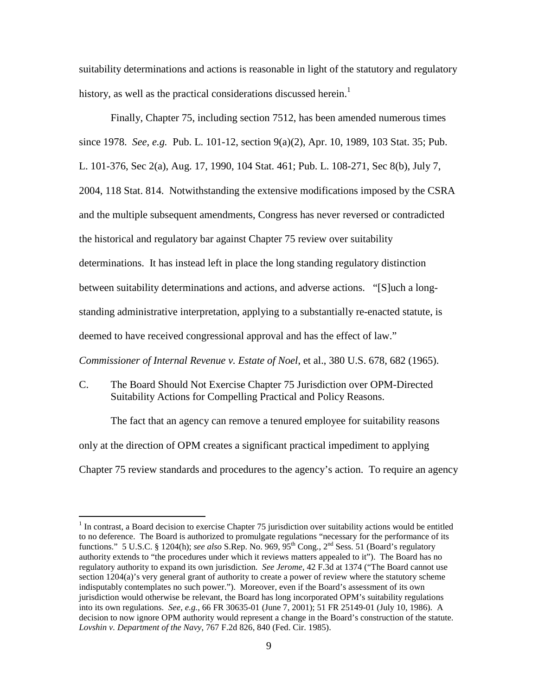suitability determinations and actions is reasonable in light of the statutory and regulatory history, as well as the practical considerations discussed herein.<sup>1</sup>

Finally, Chapter 75, including section 7512, has been amended numerous times

since 1978. *See, e.g.* Pub. L. 101-12, section 9(a)(2), Apr. 10, 1989, 103 Stat. 35; Pub. L. 101-376, Sec 2(a), Aug. 17, 1990, 104 Stat. 461; Pub. L. 108-271, Sec 8(b), July 7, 2004, 118 Stat. 814. Notwithstanding the extensive modifications imposed by the CSRA and the multiple subsequent amendments, Congress has never reversed or contradicted the historical and regulatory bar against Chapter 75 review over suitability determinations. It has instead left in place the long standing regulatory distinction between suitability determinations and actions, and adverse actions. "[S]uch a longstanding administrative interpretation, applying to a substantially re-enacted statute, is deemed to have received congressional approval and has the effect of law."

*Commissioner of Internal Revenue v. Estate of Noel*, et al., 380 U.S. 678, 682 (1965).

C. The Board Should Not Exercise Chapter 75 Jurisdiction over OPM-Directed Suitability Actions for Compelling Practical and Policy Reasons.

The fact that an agency can remove a tenured employee for suitability reasons only at the direction of OPM creates a significant practical impediment to applying Chapter 75 review standards and procedures to the agency's action. To require an agency

<sup>&</sup>lt;sup>1</sup> In contrast, a Board decision to exercise Chapter 75 jurisdiction over suitability actions would be entitled to no deference. The Board is authorized to promulgate regulations "necessary for the performance of its functions." 5 U.S.C. § 1204(h); *see also* S.Rep. No. 969, 95th Cong., 2nd Sess. 51 (Board's regulatory authority extends to "the procedures under which it reviews matters appealed to it"). The Board has no regulatory authority to expand its own jurisdiction. *See Jerome*, 42 F.3d at 1374 ("The Board cannot use section 1204(a)'s very general grant of authority to create a power of review where the statutory scheme indisputably contemplates no such power."). Moreover, even if the Board's assessment of its own jurisdiction would otherwise be relevant, the Board has long incorporated OPM's suitability regulations into its own regulations. *See, e.g.*, 66 FR 30635-01 (June 7, 2001); 51 FR 25149-01 (July 10, 1986). A decision to now ignore OPM authority would represent a change in the Board's construction of the statute. *Lovshin v. Department of the Navy*, 767 F.2d 826, 840 (Fed. Cir. 1985).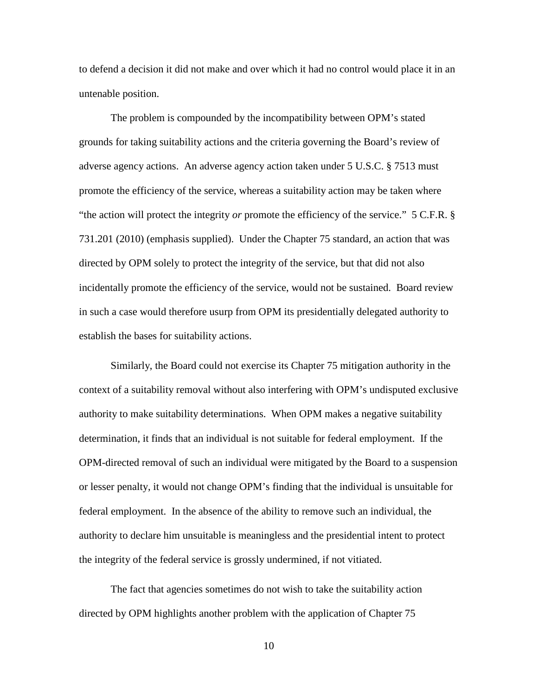to defend a decision it did not make and over which it had no control would place it in an untenable position.

The problem is compounded by the incompatibility between OPM's stated grounds for taking suitability actions and the criteria governing the Board's review of adverse agency actions. An adverse agency action taken under 5 U.S.C. § 7513 must promote the efficiency of the service, whereas a suitability action may be taken where "the action will protect the integrity *or* promote the efficiency of the service." 5 C.F.R. § 731.201 (2010) (emphasis supplied). Under the Chapter 75 standard, an action that was directed by OPM solely to protect the integrity of the service, but that did not also incidentally promote the efficiency of the service, would not be sustained. Board review in such a case would therefore usurp from OPM its presidentially delegated authority to establish the bases for suitability actions.

Similarly, the Board could not exercise its Chapter 75 mitigation authority in the context of a suitability removal without also interfering with OPM's undisputed exclusive authority to make suitability determinations. When OPM makes a negative suitability determination, it finds that an individual is not suitable for federal employment. If the OPM-directed removal of such an individual were mitigated by the Board to a suspension or lesser penalty, it would not change OPM's finding that the individual is unsuitable for federal employment. In the absence of the ability to remove such an individual, the authority to declare him unsuitable is meaningless and the presidential intent to protect the integrity of the federal service is grossly undermined, if not vitiated.

The fact that agencies sometimes do not wish to take the suitability action directed by OPM highlights another problem with the application of Chapter 75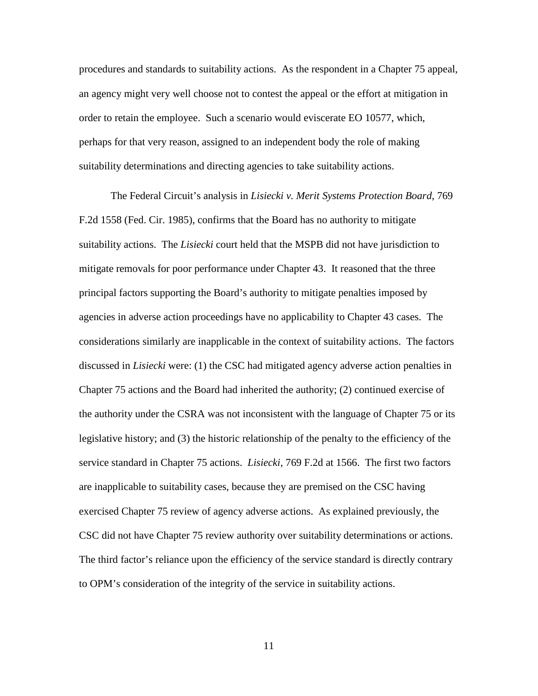procedures and standards to suitability actions. As the respondent in a Chapter 75 appeal, an agency might very well choose not to contest the appeal or the effort at mitigation in order to retain the employee. Such a scenario would eviscerate EO 10577, which, perhaps for that very reason, assigned to an independent body the role of making suitability determinations and directing agencies to take suitability actions.

The Federal Circuit's analysis in *Lisiecki v. Merit Systems Protection Board*, 769 F.2d 1558 (Fed. Cir. 1985), confirms that the Board has no authority to mitigate suitability actions. The *Lisiecki* court held that the MSPB did not have jurisdiction to mitigate removals for poor performance under Chapter 43. It reasoned that the three principal factors supporting the Board's authority to mitigate penalties imposed by agencies in adverse action proceedings have no applicability to Chapter 43 cases. The considerations similarly are inapplicable in the context of suitability actions. The factors discussed in *Lisiecki* were: (1) the CSC had mitigated agency adverse action penalties in Chapter 75 actions and the Board had inherited the authority; (2) continued exercise of the authority under the CSRA was not inconsistent with the language of Chapter 75 or its legislative history; and (3) the historic relationship of the penalty to the efficiency of the service standard in Chapter 75 actions. *Lisiecki*, 769 F.2d at 1566. The first two factors are inapplicable to suitability cases, because they are premised on the CSC having exercised Chapter 75 review of agency adverse actions. As explained previously, the CSC did not have Chapter 75 review authority over suitability determinations or actions. The third factor's reliance upon the efficiency of the service standard is directly contrary to OPM's consideration of the integrity of the service in suitability actions.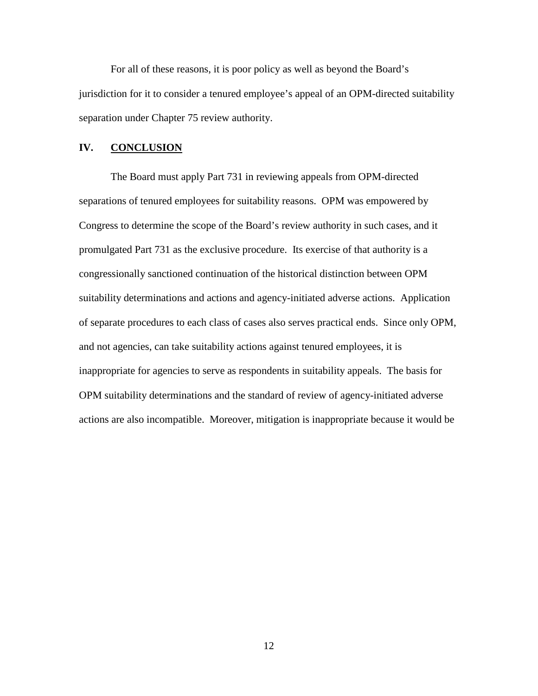For all of these reasons, it is poor policy as well as beyond the Board's jurisdiction for it to consider a tenured employee's appeal of an OPM-directed suitability separation under Chapter 75 review authority.

## **IV. CONCLUSION**

The Board must apply Part 731 in reviewing appeals from OPM-directed separations of tenured employees for suitability reasons. OPM was empowered by Congress to determine the scope of the Board's review authority in such cases, and it promulgated Part 731 as the exclusive procedure. Its exercise of that authority is a congressionally sanctioned continuation of the historical distinction between OPM suitability determinations and actions and agency-initiated adverse actions. Application of separate procedures to each class of cases also serves practical ends. Since only OPM, and not agencies, can take suitability actions against tenured employees, it is inappropriate for agencies to serve as respondents in suitability appeals. The basis for OPM suitability determinations and the standard of review of agency-initiated adverse actions are also incompatible. Moreover, mitigation is inappropriate because it would be